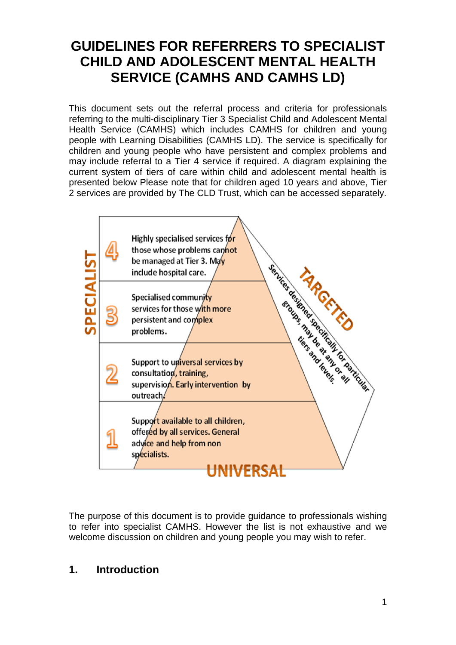# **GUIDELINES FOR REFERRERS TO SPECIALIST CHILD AND ADOLESCENT MENTAL HEALTH SERVICE (CAMHS AND CAMHS LD)**

This document sets out the referral process and criteria for professionals referring to the multi-disciplinary Tier 3 Specialist Child and Adolescent Mental Health Service (CAMHS) which includes CAMHS for children and young people with Learning Disabilities (CAMHS LD). The service is specifically for children and young people who have persistent and complex problems and may include referral to a Tier 4 service if required. A diagram explaining the current system of tiers of care within child and adolescent mental health is presented below Please note that for children aged 10 years and above, Tier 2 services are provided by The CLD Trust, which can be accessed separately.



The purpose of this document is to provide guidance to professionals wishing to refer into specialist CAMHS. However the list is not exhaustive and we welcome discussion on children and young people you may wish to refer.

## **1. Introduction**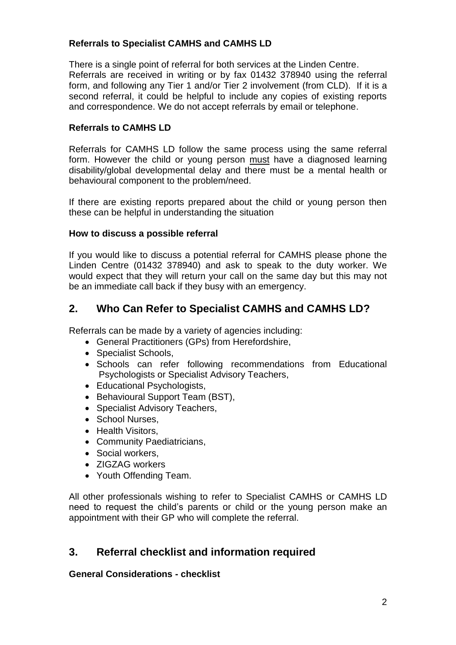## **Referrals to Specialist CAMHS and CAMHS LD**

There is a single point of referral for both services at the Linden Centre. Referrals are received in writing or by fax 01432 378940 using the referral form, and following any Tier 1 and/or Tier 2 involvement (from CLD). If it is a second referral, it could be helpful to include any copies of existing reports and correspondence. We do not accept referrals by email or telephone.

## **Referrals to CAMHS LD**

Referrals for CAMHS LD follow the same process using the same referral form. However the child or young person must have a diagnosed learning disability/global developmental delay and there must be a mental health or behavioural component to the problem/need.

If there are existing reports prepared about the child or young person then these can be helpful in understanding the situation

## **How to discuss a possible referral**

If you would like to discuss a potential referral for CAMHS please phone the Linden Centre (01432 378940) and ask to speak to the duty worker. We would expect that they will return your call on the same day but this may not be an immediate call back if they busy with an emergency.

## **2. Who Can Refer to Specialist CAMHS and CAMHS LD?**

Referrals can be made by a variety of agencies including:

- General Practitioners (GPs) from Herefordshire,
- Specialist Schools,
- Schools can refer following recommendations from Educational Psychologists or Specialist Advisory Teachers,
- Educational Psychologists,
- Behavioural Support Team (BST),
- Specialist Advisory Teachers,
- School Nurses.
- Health Visitors,
- Community Paediatricians,
- Social workers,
- ZIGZAG workers
- Youth Offending Team.

All other professionals wishing to refer to Specialist CAMHS or CAMHS LD need to request the child's parents or child or the young person make an appointment with their GP who will complete the referral.

## **3. Referral checklist and information required**

### **General Considerations - checklist**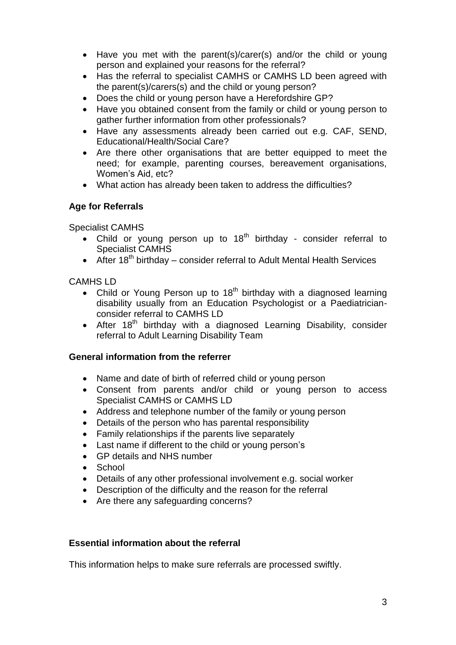- Have you met with the parent(s)/carer(s) and/or the child or young person and explained your reasons for the referral?
- Has the referral to specialist CAMHS or CAMHS LD been agreed with the parent(s)/carers(s) and the child or young person?
- Does the child or young person have a Herefordshire GP?
- Have you obtained consent from the family or child or young person to gather further information from other professionals?
- Have any assessments already been carried out e.g. CAF, SEND, Educational/Health/Social Care?
- Are there other organisations that are better equipped to meet the need; for example, parenting courses, bereavement organisations, Women's Aid, etc?
- What action has already been taken to address the difficulties?

## **Age for Referrals**

Specialist CAMHS

- Child or young person up to  $18<sup>th</sup>$  birthday consider referral to Specialist CAMHS
- $\bullet$  After 18<sup>th</sup> birthday consider referral to Adult Mental Health Services

CAMHS LD

- Child or Young Person up to  $18<sup>th</sup>$  birthday with a diagnosed learning disability usually from an Education Psychologist or a Paediatricianconsider referral to CAMHS LD
- After  $18<sup>th</sup>$  birthday with a diagnosed Learning Disability, consider referral to Adult Learning Disability Team

### **General information from the referrer**

- Name and date of birth of referred child or young person
- Consent from parents and/or child or young person to access Specialist CAMHS or CAMHS LD
- Address and telephone number of the family or young person
- Details of the person who has parental responsibility
- Family relationships if the parents live separately
- Last name if different to the child or young person's
- GP details and NHS number
- School
- Details of any other professional involvement e.g. social worker
- Description of the difficulty and the reason for the referral
- Are there any safeguarding concerns?

### **Essential information about the referral**

This information helps to make sure referrals are processed swiftly.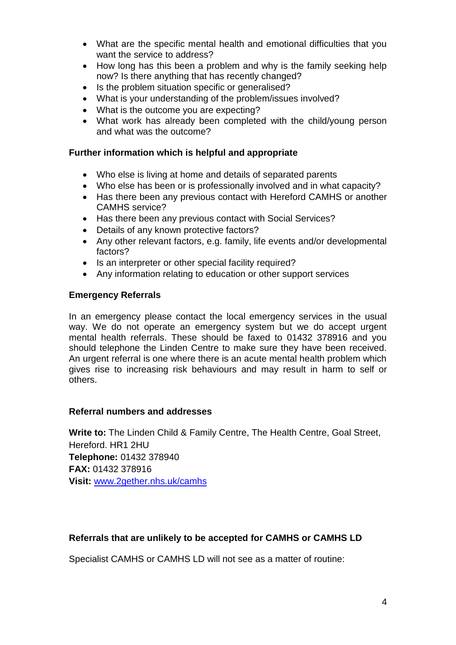- What are the specific mental health and emotional difficulties that you want the service to address?
- How long has this been a problem and why is the family seeking help now? Is there anything that has recently changed?
- Is the problem situation specific or generalised?
- What is your understanding of the problem/issues involved?
- What is the outcome you are expecting?
- What work has already been completed with the child/young person and what was the outcome?

### **Further information which is helpful and appropriate**

- Who else is living at home and details of separated parents
- Who else has been or is professionally involved and in what capacity?
- Has there been any previous contact with Hereford CAMHS or another CAMHS service?
- Has there been any previous contact with Social Services?
- Details of any known protective factors?
- Any other relevant factors, e.g. family, life events and/or developmental factors?
- Is an interpreter or other special facility required?
- Any information relating to education or other support services

#### **Emergency Referrals**

In an emergency please contact the local emergency services in the usual way. We do not operate an emergency system but we do accept urgent mental health referrals. These should be faxed to 01432 378916 and you should telephone the Linden Centre to make sure they have been received. An urgent referral is one where there is an acute mental health problem which gives rise to increasing risk behaviours and may result in harm to self or others.

#### **Referral numbers and addresses**

**Write to:** The Linden Child & Family Centre, The Health Centre, Goal Street, Hereford. HR1 2HU **Telephone:** 01432 378940 **FAX:** 01432 378916 **Visit:** [www.2gether.nhs.uk/camhs](http://www.2gether.nhs.uk/camhs)

### **Referrals that are unlikely to be accepted for CAMHS or CAMHS LD**

Specialist CAMHS or CAMHS LD will not see as a matter of routine: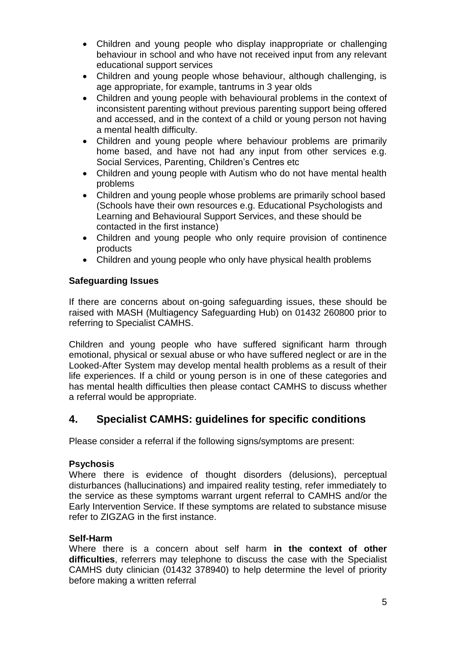- Children and young people who display inappropriate or challenging behaviour in school and who have not received input from any relevant educational support services
- Children and young people whose behaviour, although challenging, is age appropriate, for example, tantrums in 3 year olds
- Children and young people with behavioural problems in the context of inconsistent parenting without previous parenting support being offered and accessed, and in the context of a child or young person not having a mental health difficulty.
- Children and young people where behaviour problems are primarily home based, and have not had any input from other services e.g. Social Services, Parenting, Children's Centres etc
- Children and young people with Autism who do not have mental health problems
- Children and young people whose problems are primarily school based (Schools have their own resources e.g. Educational Psychologists and Learning and Behavioural Support Services, and these should be contacted in the first instance)
- Children and young people who only require provision of continence products
- Children and young people who only have physical health problems

## **Safeguarding Issues**

If there are concerns about on-going safeguarding issues, these should be raised with MASH (Multiagency Safeguarding Hub) on 01432 260800 prior to referring to Specialist CAMHS.

Children and young people who have suffered significant harm through emotional, physical or sexual abuse or who have suffered neglect or are in the Looked-After System may develop mental health problems as a result of their life experiences. If a child or young person is in one of these categories and has mental health difficulties then please contact CAMHS to discuss whether a referral would be appropriate.

## **4. Specialist CAMHS: guidelines for specific conditions**

Please consider a referral if the following signs/symptoms are present:

## **Psychosis**

Where there is evidence of thought disorders (delusions), perceptual disturbances (hallucinations) and impaired reality testing, refer immediately to the service as these symptoms warrant urgent referral to CAMHS and/or the Early Intervention Service. If these symptoms are related to substance misuse refer to ZIGZAG in the first instance.

## **Self-Harm**

Where there is a concern about self harm **in the context of other difficulties**, referrers may telephone to discuss the case with the Specialist CAMHS duty clinician (01432 378940) to help determine the level of priority before making a written referral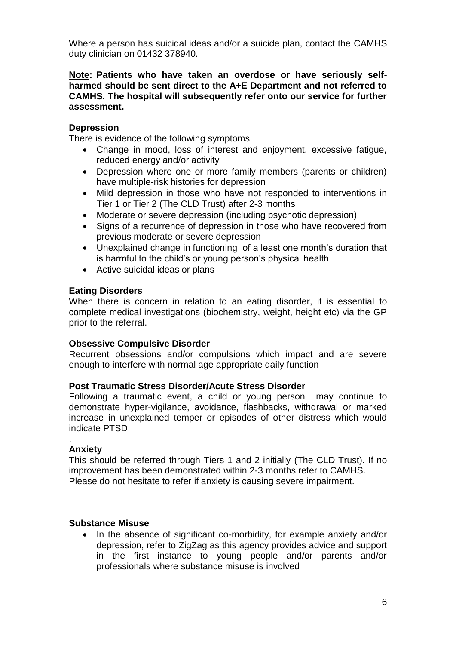Where a person has suicidal ideas and/or a suicide plan, contact the CAMHS duty clinician on 01432 378940.

#### **Note: Patients who have taken an overdose or have seriously selfharmed should be sent direct to the A+E Department and not referred to CAMHS. The hospital will subsequently refer onto our service for further assessment.**

## **Depression**

There is evidence of the following symptoms

- Change in mood, loss of interest and enjoyment, excessive fatigue, reduced energy and/or activity
- Depression where one or more family members (parents or children) have multiple-risk histories for depression
- Mild depression in those who have not responded to interventions in Tier 1 or Tier 2 (The CLD Trust) after 2-3 months
- Moderate or severe depression (including psychotic depression)
- Signs of a recurrence of depression in those who have recovered from previous moderate or severe depression
- Unexplained change in functioning of a least one month's duration that is harmful to the child's or young person's physical health
- Active suicidal ideas or plans

## **Eating Disorders**

When there is concern in relation to an eating disorder, it is essential to complete medical investigations (biochemistry, weight, height etc) via the GP prior to the referral.

### **Obsessive Compulsive Disorder**

Recurrent obsessions and/or compulsions which impact and are severe enough to interfere with normal age appropriate daily function

### **Post Traumatic Stress Disorder/Acute Stress Disorder**

Following a traumatic event, a child or young person may continue to demonstrate hyper-vigilance, avoidance, flashbacks, withdrawal or marked increase in unexplained temper or episodes of other distress which would indicate PTSD

#### . **Anxiety**

This should be referred through Tiers 1 and 2 initially (The CLD Trust). If no improvement has been demonstrated within 2-3 months refer to CAMHS. Please do not hesitate to refer if anxiety is causing severe impairment.

### **Substance Misuse**

 In the absence of significant co-morbidity, for example anxiety and/or depression, refer to ZigZag as this agency provides advice and support in the first instance to young people and/or parents and/or professionals where substance misuse is involved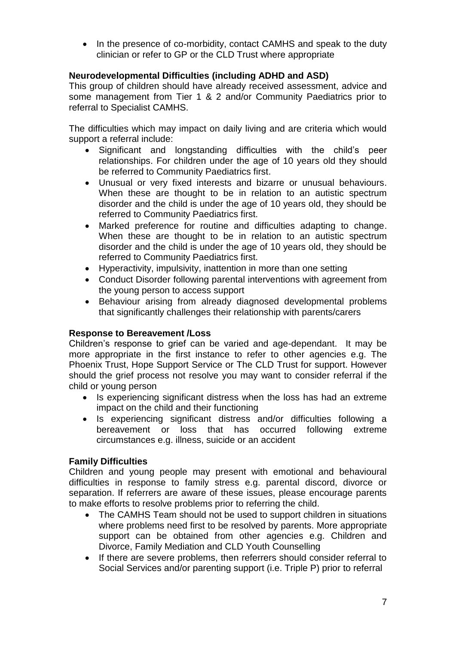In the presence of co-morbidity, contact CAMHS and speak to the duty clinician or refer to GP or the CLD Trust where appropriate

## **Neurodevelopmental Difficulties (including ADHD and ASD)**

This group of children should have already received assessment, advice and some management from Tier 1 & 2 and/or Community Paediatrics prior to referral to Specialist CAMHS.

The difficulties which may impact on daily living and are criteria which would support a referral include:

- Significant and longstanding difficulties with the child's peer relationships. For children under the age of 10 years old they should be referred to Community Paediatrics first.
- Unusual or very fixed interests and bizarre or unusual behaviours. When these are thought to be in relation to an autistic spectrum disorder and the child is under the age of 10 years old, they should be referred to Community Paediatrics first.
- Marked preference for routine and difficulties adapting to change. When these are thought to be in relation to an autistic spectrum disorder and the child is under the age of 10 years old, they should be referred to Community Paediatrics first.
- Hyperactivity, impulsivity, inattention in more than one setting
- Conduct Disorder following parental interventions with agreement from the young person to access support
- Behaviour arising from already diagnosed developmental problems that significantly challenges their relationship with parents/carers

## **Response to Bereavement /Loss**

Children's response to grief can be varied and age-dependant. It may be more appropriate in the first instance to refer to other agencies e.g. The Phoenix Trust, Hope Support Service or The CLD Trust for support. However should the grief process not resolve you may want to consider referral if the child or young person

- Is experiencing significant distress when the loss has had an extreme impact on the child and their functioning
- Is experiencing significant distress and/or difficulties following a bereavement or loss that has occurred following extreme circumstances e.g. illness, suicide or an accident

## **Family Difficulties**

Children and young people may present with emotional and behavioural difficulties in response to family stress e.g. parental discord, divorce or separation. If referrers are aware of these issues, please encourage parents to make efforts to resolve problems prior to referring the child.

- The CAMHS Team should not be used to support children in situations where problems need first to be resolved by parents. More appropriate support can be obtained from other agencies e.g. Children and Divorce, Family Mediation and CLD Youth Counselling
- If there are severe problems, then referrers should consider referral to Social Services and/or parenting support (i.e. Triple P) prior to referral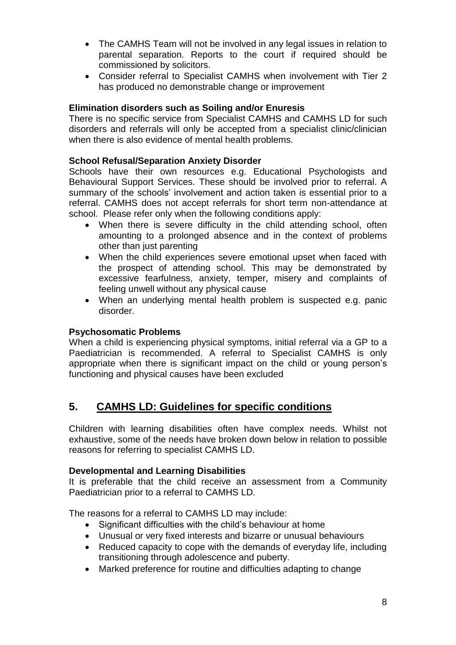- The CAMHS Team will not be involved in any legal issues in relation to parental separation. Reports to the court if required should be commissioned by solicitors.
- Consider referral to Specialist CAMHS when involvement with Tier 2 has produced no demonstrable change or improvement

## **Elimination disorders such as Soiling and/or Enuresis**

There is no specific service from Specialist CAMHS and CAMHS LD for such disorders and referrals will only be accepted from a specialist clinic/clinician when there is also evidence of mental health problems.

## **School Refusal/Separation Anxiety Disorder**

Schools have their own resources e.g. Educational Psychologists and Behavioural Support Services. These should be involved prior to referral. A summary of the schools' involvement and action taken is essential prior to a referral. CAMHS does not accept referrals for short term non-attendance at school. Please refer only when the following conditions apply:

- When there is severe difficulty in the child attending school, often amounting to a prolonged absence and in the context of problems other than just parenting
- When the child experiences severe emotional upset when faced with the prospect of attending school. This may be demonstrated by excessive fearfulness, anxiety, temper, misery and complaints of feeling unwell without any physical cause
- When an underlying mental health problem is suspected e.g. panic disorder.

## **Psychosomatic Problems**

When a child is experiencing physical symptoms, initial referral via a GP to a Paediatrician is recommended. A referral to Specialist CAMHS is only appropriate when there is significant impact on the child or young person's functioning and physical causes have been excluded

## **5. CAMHS LD: Guidelines for specific conditions**

Children with learning disabilities often have complex needs. Whilst not exhaustive, some of the needs have broken down below in relation to possible reasons for referring to specialist CAMHS LD.

### **Developmental and Learning Disabilities**

It is preferable that the child receive an assessment from a Community Paediatrician prior to a referral to CAMHS LD.

The reasons for a referral to CAMHS LD may include:

- Significant difficulties with the child's behaviour at home
- Unusual or very fixed interests and bizarre or unusual behaviours
- Reduced capacity to cope with the demands of everyday life, including transitioning through adolescence and puberty.
- Marked preference for routine and difficulties adapting to change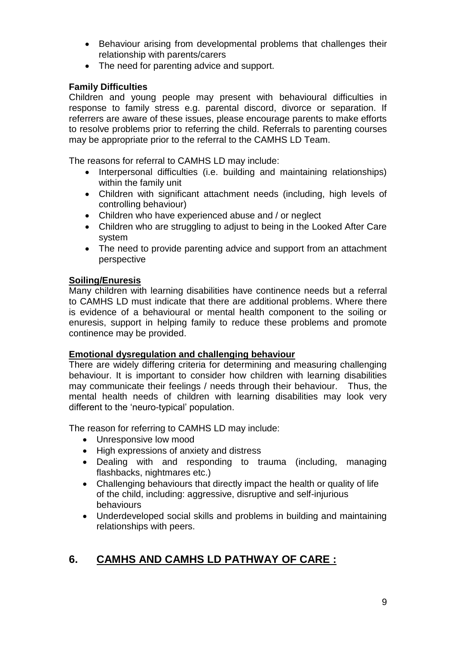- Behaviour arising from developmental problems that challenges their relationship with parents/carers
- The need for parenting advice and support.

## **Family Difficulties**

Children and young people may present with behavioural difficulties in response to family stress e.g. parental discord, divorce or separation. If referrers are aware of these issues, please encourage parents to make efforts to resolve problems prior to referring the child. Referrals to parenting courses may be appropriate prior to the referral to the CAMHS LD Team.

The reasons for referral to CAMHS LD may include:

- Interpersonal difficulties (i.e. building and maintaining relationships) within the family unit
- Children with significant attachment needs (including, high levels of controlling behaviour)
- Children who have experienced abuse and / or neglect
- Children who are struggling to adjust to being in the Looked After Care system
- The need to provide parenting advice and support from an attachment perspective

## **Soiling/Enuresis**

Many children with learning disabilities have continence needs but a referral to CAMHS LD must indicate that there are additional problems. Where there is evidence of a behavioural or mental health component to the soiling or enuresis, support in helping family to reduce these problems and promote continence may be provided.

## **Emotional dysregulation and challenging behaviour**

There are widely differing criteria for determining and measuring challenging behaviour. It is important to consider how children with learning disabilities may communicate their feelings / needs through their behaviour. Thus, the mental health needs of children with learning disabilities may look very different to the 'neuro-typical' population.

The reason for referring to CAMHS LD may include:

- Unresponsive low mood
- High expressions of anxiety and distress
- Dealing with and responding to trauma (including, managing flashbacks, nightmares etc.)
- Challenging behaviours that directly impact the health or quality of life of the child, including: aggressive, disruptive and self-injurious behaviours
- Underdeveloped social skills and problems in building and maintaining relationships with peers.

## **6. CAMHS AND CAMHS LD PATHWAY OF CARE :**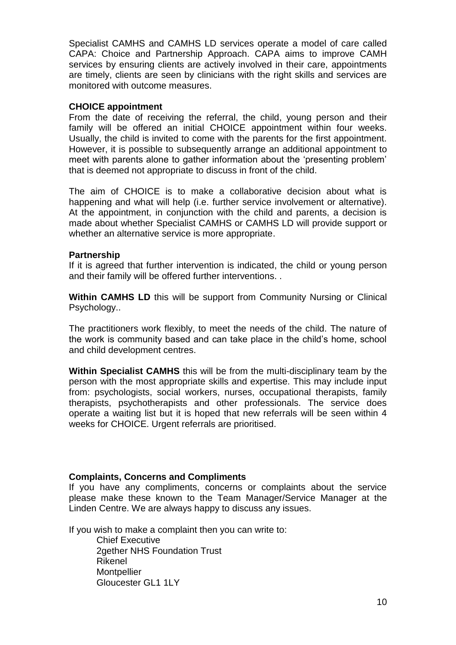Specialist CAMHS and CAMHS LD services operate a model of care called CAPA: Choice and Partnership Approach. CAPA aims to improve CAMH services by ensuring clients are actively involved in their care, appointments are timely, clients are seen by clinicians with the right skills and services are monitored with outcome measures.

#### **CHOICE appointment**

From the date of receiving the referral, the child, young person and their family will be offered an initial CHOICE appointment within four weeks. Usually, the child is invited to come with the parents for the first appointment. However, it is possible to subsequently arrange an additional appointment to meet with parents alone to gather information about the 'presenting problem' that is deemed not appropriate to discuss in front of the child.

The aim of CHOICE is to make a collaborative decision about what is happening and what will help (i.e. further service involvement or alternative). At the appointment, in conjunction with the child and parents, a decision is made about whether Specialist CAMHS or CAMHS LD will provide support or whether an alternative service is more appropriate.

### **Partnership**

If it is agreed that further intervention is indicated, the child or young person and their family will be offered further interventions. .

**Within CAMHS LD** this will be support from Community Nursing or Clinical Psychology..

The practitioners work flexibly, to meet the needs of the child. The nature of the work is community based and can take place in the child's home, school and child development centres.

**Within Specialist CAMHS** this will be from the multi-disciplinary team by the person with the most appropriate skills and expertise. This may include input from: psychologists, social workers, nurses, occupational therapists, family therapists, psychotherapists and other professionals. The service does operate a waiting list but it is hoped that new referrals will be seen within 4 weeks for CHOICE. Urgent referrals are prioritised.

### **Complaints, Concerns and Compliments**

If you have any compliments, concerns or complaints about the service please make these known to the Team Manager/Service Manager at the Linden Centre. We are always happy to discuss any issues.

If you wish to make a complaint then you can write to:

Chief Executive 2gether NHS Foundation Trust Rikenel **Montpellier** Gloucester GL1 1LY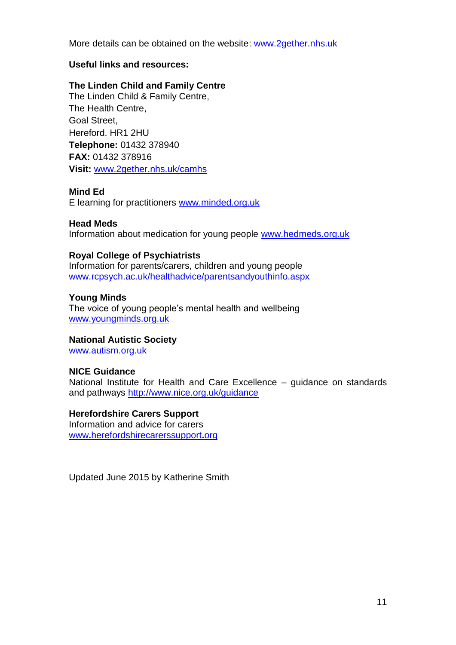More details can be obtained on the website: [www.2gether.nhs.uk](http://www.2gether.nhs.uk/)

### **Useful links and resources:**

## **The Linden Child and Family Centre**

The Linden Child & Family Centre, The Health Centre, Goal Street, Hereford. HR1 2HU **Telephone:** 01432 378940 **FAX:** 01432 378916 **Visit:** [www.2gether.nhs.uk/camhs](http://www.2gether.nhs.uk/camhs)

### **Mind Ed**

E learning for practitioners [www.minded.org.uk](http://www.minded.org.uk/)

### **Head Meds**

Information about medication for young people [www.hedmeds.org.uk](http://www.hedmeds.org.uk/)

### **Royal College of Psychiatrists**

Information for parents/carers, children and young people [www.rcpsych.ac.uk/healthadvice/parentsandyouthinfo.aspx](http://www.rcpsych.ac.uk/healthadvice/parentsandyouthinfo.aspx)

### **Young Minds**

The voice of young people's mental health and wellbeing [www.youngminds.org.uk](http://www.youngminds.org.uk/)

### **National Autistic Society**

[www.autism.org.uk](http://www.autism.org.uk/)

### **NICE Guidance**

National Institute for Health and Care Excellence – guidance on standards and pathways<http://www.nice.org.uk/guidance>

### **Herefordshire Carers Support**

Information and advice for carers www**.**[herefordshirecarerssupport](http://www.herefordshirecarerssupport.org/)**.**org

Updated June 2015 by Katherine Smith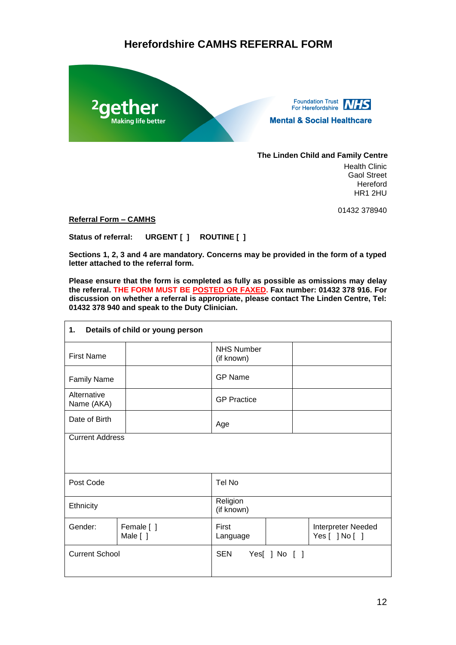## **Herefordshire CAMHS REFERRAL FORM**



Foundation Trust<br>For Herefordshire **NHS Mental & Social Healthcare** 

#### **The Linden Child and Family Centre**

Health Clinic Gaol Street Hereford HR1 2HU

01432 378940

**Referral Form – CAMHS** 

**Status of referral: URGENT [ ] ROUTINE [ ]**

**Sections 1, 2, 3 and 4 are mandatory. Concerns may be provided in the form of a typed letter attached to the referral form.** 

**Please ensure that the form is completed as fully as possible as omissions may delay the referral. THE FORM MUST BE POSTED OR FAXED. Fax number: 01432 378 916. For discussion on whether a referral is appropriate, please contact The Linden Centre, Tel: 01432 378 940 and speak to the Duty Clinician.**

| Details of child or young person<br>1. |                        |                                 |               |                                      |  |  |
|----------------------------------------|------------------------|---------------------------------|---------------|--------------------------------------|--|--|
| <b>First Name</b>                      |                        | <b>NHS Number</b><br>(if known) |               |                                      |  |  |
| <b>Family Name</b>                     |                        | <b>GP Name</b>                  |               |                                      |  |  |
| Alternative<br>Name (AKA)              |                        | <b>GP Practice</b>              |               |                                      |  |  |
| Date of Birth                          |                        | Age                             |               |                                      |  |  |
| <b>Current Address</b>                 |                        |                                 |               |                                      |  |  |
|                                        |                        |                                 |               |                                      |  |  |
| Post Code                              |                        | Tel No                          |               |                                      |  |  |
| Ethnicity                              |                        | Religion<br>(if known)          |               |                                      |  |  |
| Gender:                                | Female [ ]<br>Male [ ] | First<br>Language               |               | Interpreter Needed<br>Yes [ ] No [ ] |  |  |
| <b>Current School</b>                  |                        | <b>SEN</b>                      | Yes[ ] No [ ] |                                      |  |  |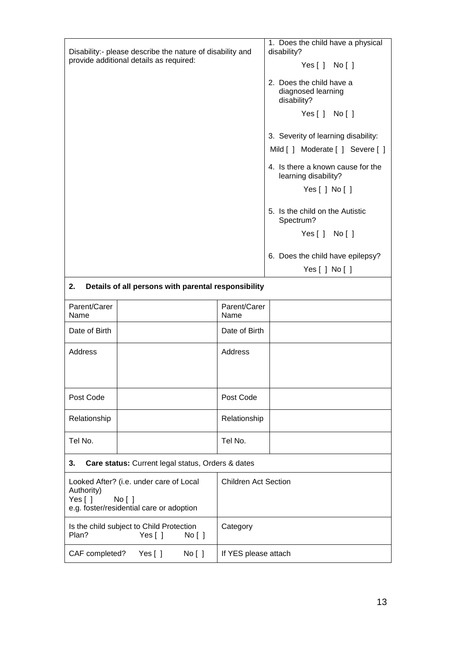|                                                                                                                       | Disability:- please describe the nature of disability and       | 1. Does the child have a physical<br>disability? |                                                               |  |  |
|-----------------------------------------------------------------------------------------------------------------------|-----------------------------------------------------------------|--------------------------------------------------|---------------------------------------------------------------|--|--|
|                                                                                                                       | provide additional details as required:                         |                                                  | Yes[] No[]                                                    |  |  |
|                                                                                                                       |                                                                 |                                                  | 2. Does the child have a<br>diagnosed learning<br>disability? |  |  |
|                                                                                                                       |                                                                 |                                                  | Yes[] No[]                                                    |  |  |
|                                                                                                                       |                                                                 |                                                  | 3. Severity of learning disability:                           |  |  |
|                                                                                                                       |                                                                 |                                                  | Mild [ ] Moderate [ ] Severe [ ]                              |  |  |
|                                                                                                                       |                                                                 |                                                  | 4. Is there a known cause for the<br>learning disability?     |  |  |
|                                                                                                                       |                                                                 |                                                  | Yes $[$ $]$ No $[$ $]$                                        |  |  |
|                                                                                                                       |                                                                 |                                                  | 5. Is the child on the Autistic<br>Spectrum?                  |  |  |
|                                                                                                                       |                                                                 |                                                  | Yes[] No[]                                                    |  |  |
|                                                                                                                       |                                                                 |                                                  | 6. Does the child have epilepsy?                              |  |  |
|                                                                                                                       |                                                                 |                                                  | Yes[ ] No[ ]                                                  |  |  |
| 2.                                                                                                                    | Details of all persons with parental responsibility             |                                                  |                                                               |  |  |
| Parent/Carer<br>Name                                                                                                  |                                                                 | Parent/Carer<br>Name                             |                                                               |  |  |
| Date of Birth                                                                                                         |                                                                 | Date of Birth                                    |                                                               |  |  |
| Address                                                                                                               |                                                                 | Address                                          |                                                               |  |  |
| Post Code                                                                                                             |                                                                 | Post Code                                        |                                                               |  |  |
| Relationship                                                                                                          |                                                                 | Relationship                                     |                                                               |  |  |
| Tel No.                                                                                                               |                                                                 | Tel No.                                          |                                                               |  |  |
| Care status: Current legal status, Orders & dates<br>3.                                                               |                                                                 |                                                  |                                                               |  |  |
| Looked After? (i.e. under care of Local<br>Authority)<br>Yes []<br>No [ ]<br>e.g. foster/residential care or adoption |                                                                 | <b>Children Act Section</b>                      |                                                               |  |  |
| Plan?                                                                                                                 | Is the child subject to Child Protection<br>Yes $[ ]$<br>No [ ] | Category                                         |                                                               |  |  |
| CAF completed?                                                                                                        | Yes $[ ]$<br>No [ ]                                             | If YES please attach                             |                                                               |  |  |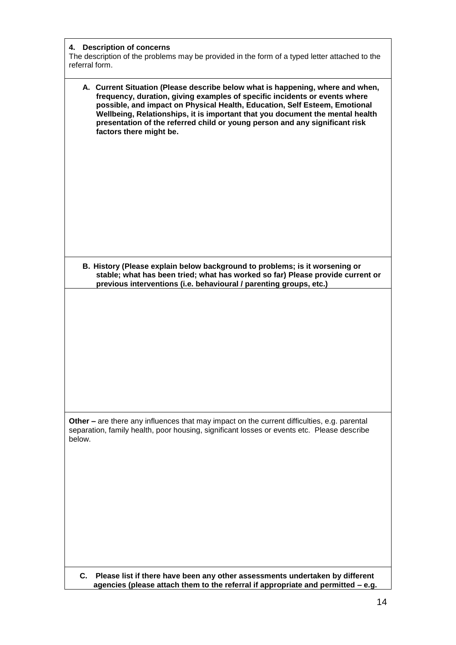| 4. Description of concerns<br>The description of the problems may be provided in the form of a typed letter attached to the<br>referral form.                                                                                                                                                                                                                                                                                         |
|---------------------------------------------------------------------------------------------------------------------------------------------------------------------------------------------------------------------------------------------------------------------------------------------------------------------------------------------------------------------------------------------------------------------------------------|
| A. Current Situation (Please describe below what is happening, where and when,<br>frequency, duration, giving examples of specific incidents or events where<br>possible, and impact on Physical Health, Education, Self Esteem, Emotional<br>Wellbeing, Relationships, it is important that you document the mental health<br>presentation of the referred child or young person and any significant risk<br>factors there might be. |
|                                                                                                                                                                                                                                                                                                                                                                                                                                       |
|                                                                                                                                                                                                                                                                                                                                                                                                                                       |
| B. History (Please explain below background to problems; is it worsening or<br>stable; what has been tried; what has worked so far) Please provide current or<br>previous interventions (i.e. behavioural / parenting groups, etc.)                                                                                                                                                                                                   |
|                                                                                                                                                                                                                                                                                                                                                                                                                                       |
|                                                                                                                                                                                                                                                                                                                                                                                                                                       |
| Other – are there any influences that may impact on the current difficulties, e.g. parental<br>separation, family health, poor housing, significant losses or events etc. Please describe<br>below.                                                                                                                                                                                                                                   |
|                                                                                                                                                                                                                                                                                                                                                                                                                                       |
| C. Please list if there have been any other assessments undertaken by different<br>agencies (please attach them to the referral if appropriate and permitted - e.g.                                                                                                                                                                                                                                                                   |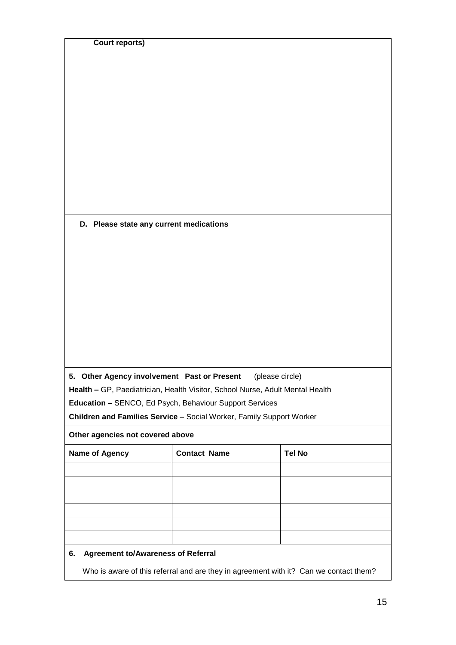| Other agencies not covered above                                                                                                                                                                                                                                                   |  |  |  |  |  |
|------------------------------------------------------------------------------------------------------------------------------------------------------------------------------------------------------------------------------------------------------------------------------------|--|--|--|--|--|
| 5. Other Agency involvement Past or Present<br>(please circle)<br>Health - GP, Paediatrician, Health Visitor, School Nurse, Adult Mental Health<br>Education - SENCO, Ed Psych, Behaviour Support Services<br>Children and Families Service - Social Worker, Family Support Worker |  |  |  |  |  |
| D. Please state any current medications                                                                                                                                                                                                                                            |  |  |  |  |  |
|                                                                                                                                                                                                                                                                                    |  |  |  |  |  |
|                                                                                                                                                                                                                                                                                    |  |  |  |  |  |